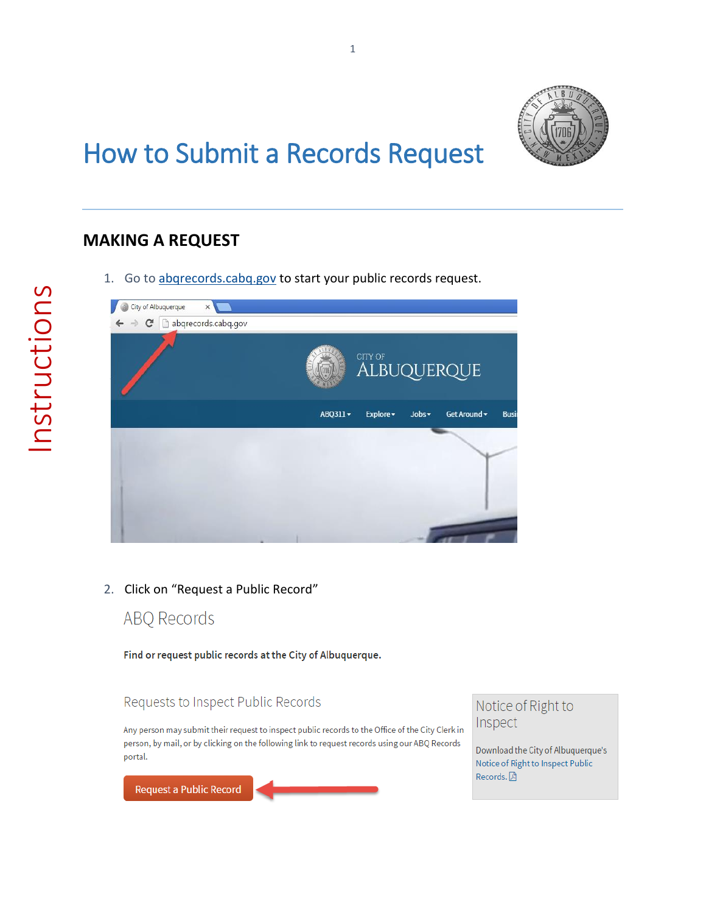

# How to Submit a Records Request

### **MAKING A REQUEST**

1. Go to abgrecords.cabg.gov to start your public records request.

| City of Albuquerque<br>$\times$<br>$\leftarrow$ $\rightarrow$ $\mathbf{C}$ $\Box$ abqrecords.cabq.gov |                                                              |
|-------------------------------------------------------------------------------------------------------|--------------------------------------------------------------|
|                                                                                                       | CITY OF<br>ALBUQUERQUE                                       |
|                                                                                                       | ABQ311 -<br>Explore -<br>Jobs<br>Get Around -<br><b>Busi</b> |
|                                                                                                       |                                                              |
|                                                                                                       |                                                              |

2. Click on "Request a Public Record"

## **ABQ Records**

Find or request public records at the City of Albuquerque.

#### Requests to Inspect Public Records

Any person may submit their request to inspect public records to the Office of the City Clerk in person, by mail, or by clicking on the following link to request records using our ABQ Records portal.

Notice of Right to Inspect

Download the City of Albuquerque's Notice of Right to Inspect Public Records. A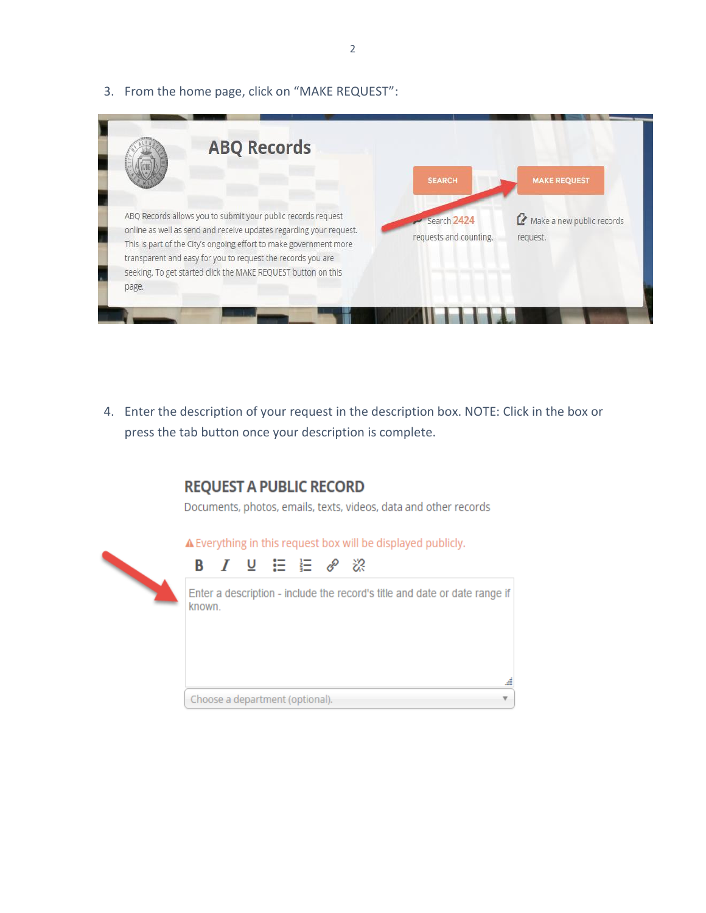3. From the home page, click on "MAKE REQUEST":

| <b>ABQ Records</b>                                                                                                                                                                                     |                        |                           |
|--------------------------------------------------------------------------------------------------------------------------------------------------------------------------------------------------------|------------------------|---------------------------|
|                                                                                                                                                                                                        | <b>SEARCH</b>          | <b>MAKE REQUEST</b>       |
| ABQ Records allows you to submit your public records request                                                                                                                                           | Search 2424            | Make a new public records |
| online as well as send and receive updates regarding your request.<br>This is part of the City's ongoing effort to make government more<br>transparent and easy for you to request the records you are | requests and counting. | request.                  |
| seeking. To get started click the MAKE REQUEST button on this                                                                                                                                          |                        |                           |
| page.                                                                                                                                                                                                  |                        |                           |

4. Enter the description of your request in the description box. NOTE: Click in the box or press the tab button once your description is complete.

#### **REQUEST A PUBLIC RECORD**

Documents, photos, emails, texts, videos, data and other records

v

#### A Everything in this request box will be displayed publicly.

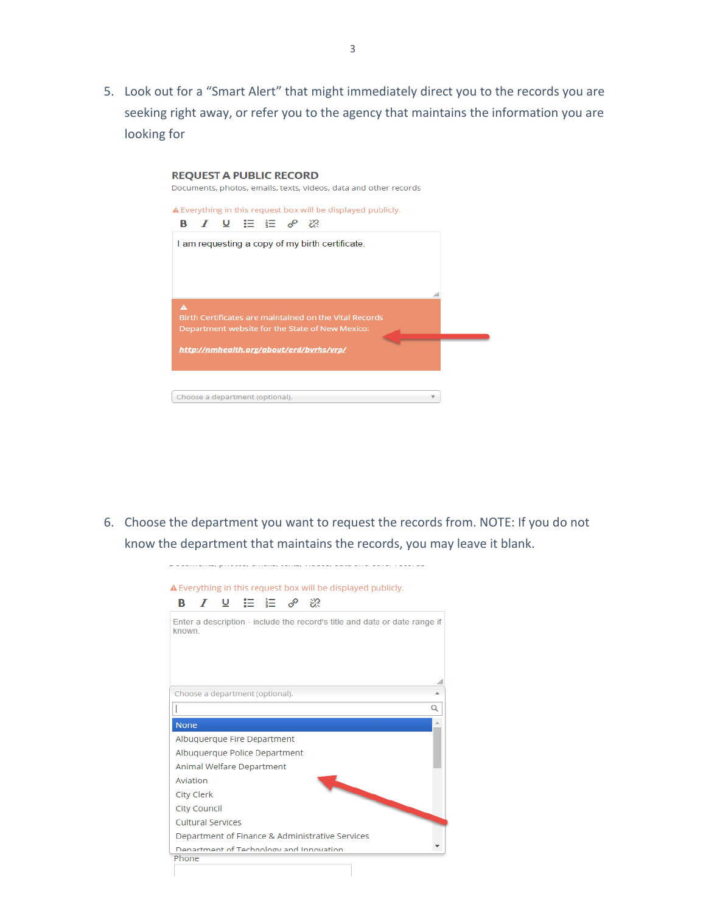5. Look out for a "Smart Alert" that might immediately direct you to the records you are seeking right away, or refer you to the agency that maintains the information you are looking for

| <b>REQUEST A PUBLIC RECORD</b>                                                                                 |  |
|----------------------------------------------------------------------------------------------------------------|--|
| Documents, photos, emails, texts, videos, data and other records                                               |  |
| A Everything in this request box will be displayed publicly.<br>B <i>I</i> U I I <i>e</i> 22                   |  |
| I am requesting a copy of my birth certificate.                                                                |  |
|                                                                                                                |  |
| Δ<br>Birth Certificates are maintained on the Vital Records<br>Department website for the State of New Mexico: |  |
| http://nmhealth.org/about/erd/bvrhs/vrp/                                                                       |  |
|                                                                                                                |  |
| Choose a department (optional).                                                                                |  |

6. Choose the department you want to request the records from. NOTE: If you do not know the department that maintains the records, you may leave it blank.

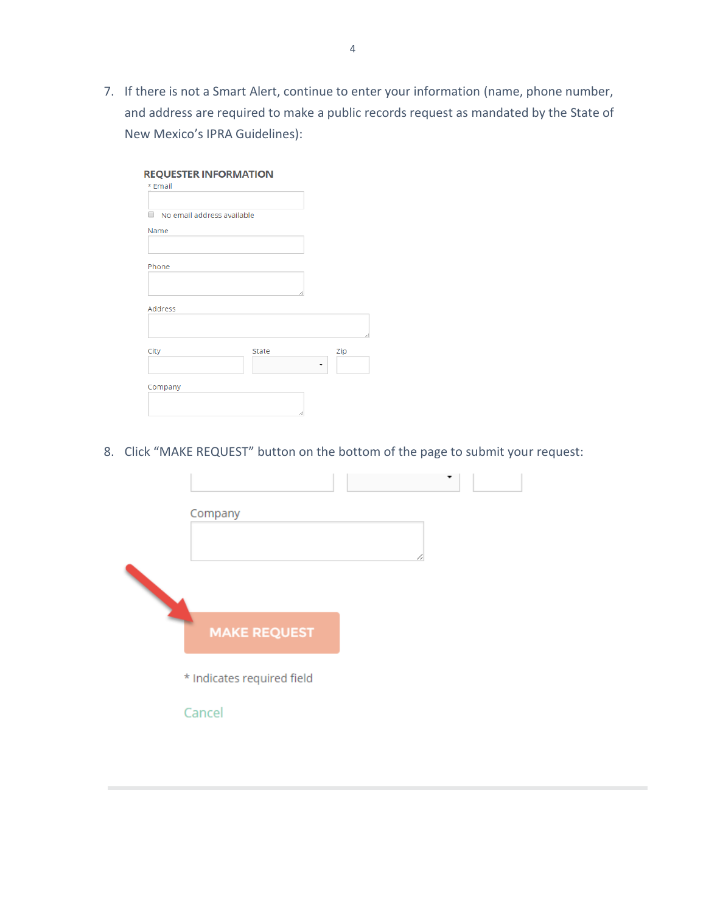7. If there is not a Smart Alert, continue to enter your information (name, phone number, and address are required to make a public records request as mandated by the State of New Mexico's IPRA Guidelines):

| * Email                         | <b>REQUESTER INFORMATION</b> |     |
|---------------------------------|------------------------------|-----|
| ∩<br>No email address available |                              |     |
| Name                            |                              |     |
|                                 |                              |     |
| Phone                           |                              |     |
|                                 |                              |     |
| Address                         |                              |     |
| City                            | <b>State</b>                 | Zip |
|                                 |                              |     |
| Company                         |                              |     |
|                                 |                              |     |

#### 8. Click "MAKE REQUEST" button on the bottom of the page to submit your request:

| Company                    |   |
|----------------------------|---|
|                            |   |
|                            |   |
|                            |   |
| <b>MAKE REQUEST</b>        |   |
| * Indicates required field |   |
| Cancel                     |   |
|                            | 4 |